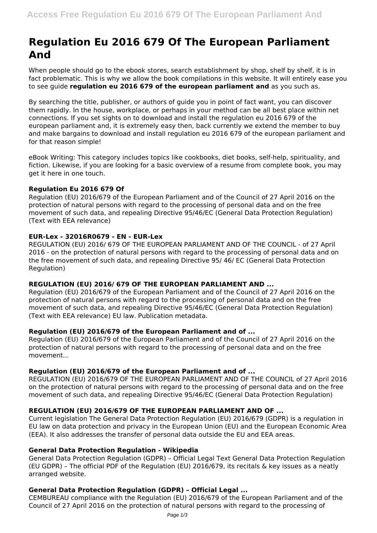# **Regulation Eu 2016 679 Of The European Parliament And**

When people should go to the ebook stores, search establishment by shop, shelf by shelf, it is in fact problematic. This is why we allow the book compilations in this website. It will entirely ease you to see guide **regulation eu 2016 679 of the european parliament and** as you such as.

By searching the title, publisher, or authors of guide you in point of fact want, you can discover them rapidly. In the house, workplace, or perhaps in your method can be all best place within net connections. If you set sights on to download and install the regulation eu 2016 679 of the european parliament and, it is extremely easy then, back currently we extend the member to buy and make bargains to download and install regulation eu 2016 679 of the european parliament and for that reason simple!

eBook Writing: This category includes topics like cookbooks, diet books, self-help, spirituality, and fiction. Likewise, if you are looking for a basic overview of a resume from complete book, you may get it here in one touch.

# **Regulation Eu 2016 679 Of**

Regulation (EU) 2016/679 of the European Parliament and of the Council of 27 April 2016 on the protection of natural persons with regard to the processing of personal data and on the free movement of such data, and repealing Directive 95/46/EC (General Data Protection Regulation) (Text with EEA relevance)

#### **EUR-Lex - 32016R0679 - EN - EUR-Lex**

REGULATION (EU) 2016/ 679 OF THE EUROPEAN PARLIAMENT AND OF THE COUNCIL - of 27 April 2016 - on the protection of natural persons with regard to the processing of personal data and on the free movement of such data, and repealing Directive 95/ 46/ EC (General Data Protection Regulation)

# **REGULATION (EU) 2016/ 679 OF THE EUROPEAN PARLIAMENT AND ...**

Regulation (EU) 2016/679 of the European Parliament and of the Council of 27 April 2016 on the protection of natural persons with regard to the processing of personal data and on the free movement of such data, and repealing Directive 95/46/EC (General Data Protection Regulation) (Text with EEA relevance) EU law. Publication metadata.

#### **Regulation (EU) 2016/679 of the European Parliament and of ...**

Regulation (EU) 2016/679 of the European Parliament and of the Council of 27 April 2016 on the protection of natural persons with regard to the processing of personal data and on the free movement...

#### **Regulation (EU) 2016/679 of the European Parliament and of ...**

REGULATION (EU) 2016/679 OF THE EUROPEAN PARLIAMENT AND OF THE COUNCIL of 27 April 2016 on the protection of natural persons with regard to the processing of personal data and on the free movement of such data, and repealing Directive 95/46/EC (General Data Protection Regulation)

# **REGULATION (EU) 2016/679 OF THE EUROPEAN PARLIAMENT AND OF ...**

Current legislation The General Data Protection Regulation (EU) 2016/679 (GDPR) is a regulation in EU law on data protection and privacy in the European Union (EU) and the European Economic Area (EEA). It also addresses the transfer of personal data outside the EU and EEA areas.

#### **General Data Protection Regulation - Wikipedia**

General Data Protection Regulation (GDPR) – Official Legal Text General Data Protection Regulation (EU GDPR) – The official PDF of the Regulation (EU) 2016/679, its recitals & key issues as a neatly arranged website.

# **General Data Protection Regulation (GDPR) – Official Legal ...**

CEMBUREAU compliance with the Regulation (EU) 2016/679 of the European Parliament and of the Council of 27 April 2016 on the protection of natural persons with regard to the processing of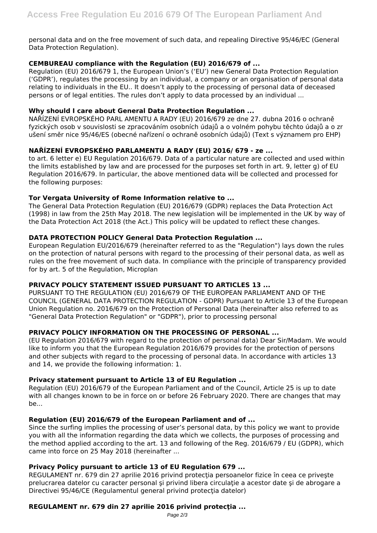personal data and on the free movement of such data, and repealing Directive 95/46/EC (General Data Protection Regulation).

# **CEMBUREAU compliance with the Regulation (EU) 2016/679 of ...**

Regulation (EU) 2016/679 1, the European Union's ('EU') new General Data Protection Regulation ('GDPR'), regulates the processing by an individual, a company or an organisation of personal data relating to individuals in the EU.. It doesn't apply to the processing of personal data of deceased persons or of legal entities. The rules don't apply to data processed by an individual ...

# **Why should I care about General Data Protection Regulation ...**

NAŘÍZENÍ EVROPSKÉHO PARL AMENTU A RADY (EU) 2016/679 ze dne 27. dubna 2016 o ochraně fyzických osob v souvislosti se zpracováním osobních údajů a o volném pohybu těchto údajů a o zr ušení směr nice 95/46/ES (obecné nařízení o ochraně osobních údajů) (Text s významem pro EHP)

# **NAŘÍZENÍ EVROPSKÉHO PARLAMENTU A RADY (EU) 2016/ 679 - ze ...**

to art. 6 letter e) EU Regulation 2016/679. Data of a particular nature are collected and used within the limits established by law and are processed for the purposes set forth in art. 9, letter g) of EU Regulation 2016/679. In particular, the above mentioned data will be collected and processed for the following purposes:

# **Tor Vergata University of Rome Information relative to ...**

The General Data Protection Regulation (EU) 2016/679 (GDPR) replaces the Data Protection Act (1998) in law from the 25th May 2018. The new legislation will be implemented in the UK by way of the Data Protection Act 2018 (the Act.) This policy will be updated to reflect these changes.

# **DATA PROTECTION POLICY General Data Protection Regulation ...**

European Regulation EU/2016/679 (hereinafter referred to as the "Regulation") lays down the rules on the protection of natural persons with regard to the processing of their personal data, as well as rules on the free movement of such data. In compliance with the principle of transparency provided for by art. 5 of the Regulation, Microplan

# **PRIVACY POLICY STATEMENT ISSUED PURSUANT TO ARTICLES 13 ...**

PURSUANT TO THE REGULATION (EU) 2016/679 OF THE EUROPEAN PARLIAMENT AND OF THE COUNCIL (GENERAL DATA PROTECTION REGULATION - GDPR) Pursuant to Article 13 of the European Union Regulation no. 2016/679 on the Protection of Personal Data (hereinafter also referred to as "General Data Protection Regulation" or "GDPR"), prior to processing personal

# **PRIVACY POLICY INFORMATION ON THE PROCESSING OF PERSONAL ...**

(EU Regulation 2016/679 with regard to the protection of personal data) Dear Sir/Madam. We would like to inform you that the European Regulation 2016/679 provides for the protection of persons and other subjects with regard to the processing of personal data. In accordance with articles 13 and 14, we provide the following information: 1.

# **Privacy statement pursuant to Article 13 of EU Regulation ...**

Regulation (EU) 2016/679 of the European Parliament and of the Council, Article 25 is up to date with all changes known to be in force on or before 26 February 2020. There are changes that may be...

# **Regulation (EU) 2016/679 of the European Parliament and of ...**

Since the surfing implies the processing of user's personal data, by this policy we want to provide you with all the information regarding the data which we collects, the purposes of processing and the method applied according to the art. 13 and following of the Reg. 2016/679 / EU (GDPR), which came into force on 25 May 2018 (hereinafter ...

# **Privacy Policy pursuant to article 13 of EU Regulation 679 ...**

REGULAMENT nr. 679 din 27 aprilie 2016 privind protecția persoanelor fizice în ceea ce priveste prelucrarea datelor cu caracter personal și privind libera circulație a acestor date și de abrogare a Directivei 95/46/CE (Regulamentul general privind protecția datelor)

# **REGULAMENT nr. 679 din 27 aprilie 2016 privind protecţia ...**